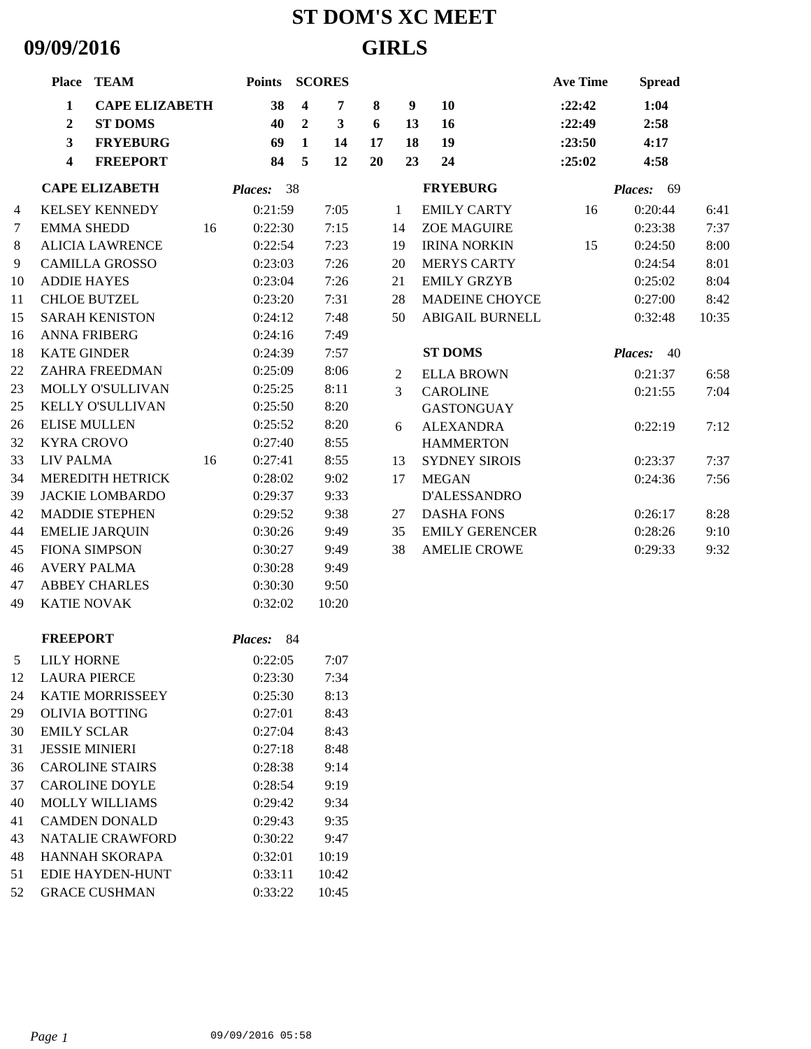## **ST DOM'S XC MEET 09/09/2016 GIRLS**

|    | Place TEAM                            |    | <b>Points</b> |                         | <b>SCORES</b> |    |                  |                        | <b>Ave Time</b> | <b>Spread</b> |       |
|----|---------------------------------------|----|---------------|-------------------------|---------------|----|------------------|------------------------|-----------------|---------------|-------|
|    | $\mathbf{1}$<br><b>CAPE ELIZABETH</b> |    | 38            | $\overline{\mathbf{4}}$ | 7             | 8  | $\boldsymbol{9}$ | 10                     | : 22:42         | 1:04          |       |
|    | <b>ST DOMS</b><br>$\overline{2}$      |    | 40            | $\overline{2}$          | $\mathbf{3}$  | 6  | 13               | 16                     | :22:49          | 2:58          |       |
|    | $\mathbf{3}$<br><b>FRYEBURG</b>       |    | 69            | $\mathbf{1}$            | 14            | 17 | 18               | 19                     | :23:50          | 4:17          |       |
|    | 4<br><b>FREEPORT</b>                  |    | 84            | 5                       | 12            | 20 | 23               | 24                     | :25:02          | 4:58          |       |
|    | <b>CAPE ELIZABETH</b>                 |    | Places: 38    |                         |               |    |                  | <b>FRYEBURG</b>        |                 | Places: 69    |       |
| 4  | <b>KELSEY KENNEDY</b>                 |    | 0:21:59       |                         | 7:05          |    | 1                | <b>EMILY CARTY</b>     | 16              | 0:20:44       | 6:41  |
| 7  | <b>EMMA SHEDD</b>                     | 16 | 0:22:30       |                         | 7:15          |    | 14               | <b>ZOE MAGUIRE</b>     |                 | 0:23:38       | 7:37  |
| 8  | <b>ALICIA LAWRENCE</b>                |    | 0:22:54       |                         | 7:23          |    | 19               | <b>IRINA NORKIN</b>    | 15              | 0:24:50       | 8:00  |
| 9  | <b>CAMILLA GROSSO</b>                 |    | 0:23:03       |                         | 7:26          |    | 20               | <b>MERYS CARTY</b>     |                 | 0:24:54       | 8:01  |
| 10 | <b>ADDIE HAYES</b>                    |    | 0:23:04       |                         | 7:26          |    | 21               | <b>EMILY GRZYB</b>     |                 | 0:25:02       | 8:04  |
| 11 | <b>CHLOE BUTZEL</b>                   |    | 0:23:20       |                         | 7:31          |    | 28               | MADEINE CHOYCE         |                 | 0:27:00       | 8:42  |
| 15 | <b>SARAH KENISTON</b>                 |    | 0:24:12       |                         | 7:48          |    | 50               | <b>ABIGAIL BURNELL</b> |                 | 0:32:48       | 10:35 |
| 16 | <b>ANNA FRIBERG</b>                   |    | 0:24:16       |                         | 7:49          |    |                  |                        |                 |               |       |
| 18 | <b>KATE GINDER</b>                    |    | 0:24:39       |                         | 7:57          |    |                  | <b>ST DOMS</b>         |                 | Places:<br>40 |       |
| 22 | <b>ZAHRA FREEDMAN</b>                 |    | 0:25:09       |                         | 8:06          |    | 2                | <b>ELLA BROWN</b>      |                 | 0:21:37       | 6:58  |
| 23 | MOLLY O'SULLIVAN                      |    | 0:25:25       |                         | 8:11          |    | $\overline{3}$   | <b>CAROLINE</b>        |                 | 0:21:55       | 7:04  |
| 25 | KELLY O'SULLIVAN                      |    | 0:25:50       |                         | 8:20          |    |                  | <b>GASTONGUAY</b>      |                 |               |       |
| 26 | <b>ELISE MULLEN</b>                   |    | 0:25:52       |                         | 8:20          |    | 6                | <b>ALEXANDRA</b>       |                 | 0:22:19       | 7:12  |
| 32 | <b>KYRA CROVO</b>                     |    | 0:27:40       |                         | 8:55          |    |                  | <b>HAMMERTON</b>       |                 |               |       |
| 33 | LIV PALMA                             | 16 | 0:27:41       |                         | 8:55          |    | 13               | <b>SYDNEY SIROIS</b>   |                 | 0:23:37       | 7:37  |
| 34 | <b>MEREDITH HETRICK</b>               |    | 0:28:02       |                         | 9:02          |    | 17               | <b>MEGAN</b>           |                 | 0:24:36       | 7:56  |
| 39 | <b>JACKIE LOMBARDO</b>                |    | 0:29:37       |                         | 9:33          |    |                  | D'ALESSANDRO           |                 |               |       |
| 42 | <b>MADDIE STEPHEN</b>                 |    | 0:29:52       |                         | 9:38          |    | 27               | <b>DASHA FONS</b>      |                 | 0:26:17       | 8:28  |
| 44 | <b>EMELIE JARQUIN</b>                 |    | 0:30:26       |                         | 9:49          |    | 35               | <b>EMILY GERENCER</b>  |                 | 0:28:26       | 9:10  |
| 45 | <b>FIONA SIMPSON</b>                  |    | 0:30:27       |                         | 9:49          |    | 38               | <b>AMELIE CROWE</b>    |                 | 0:29:33       | 9:32  |
| 46 | <b>AVERY PALMA</b>                    |    | 0:30:28       |                         | 9:49          |    |                  |                        |                 |               |       |
| 47 | <b>ABBEY CHARLES</b>                  |    | 0:30:30       |                         | 9:50          |    |                  |                        |                 |               |       |
| 49 | <b>KATIE NOVAK</b>                    |    | 0:32:02       |                         | 10:20         |    |                  |                        |                 |               |       |
|    | <b>FREEPORT</b>                       |    | Places: 84    |                         |               |    |                  |                        |                 |               |       |
|    | 5 LILY HORNE                          |    | 0:22:05       |                         | 7:07          |    |                  |                        |                 |               |       |
| 12 | <b>LAURA PIERCE</b>                   |    | 0:23:30       |                         | 7:34          |    |                  |                        |                 |               |       |
| 24 | KATIE MORRISSEEY                      |    | 0:25:30       |                         | 8:13          |    |                  |                        |                 |               |       |
| 29 | <b>OLIVIA BOTTING</b>                 |    | 0:27:01       |                         | 8:43          |    |                  |                        |                 |               |       |
| 30 | <b>EMILY SCLAR</b>                    |    | 0:27:04       |                         | 8:43          |    |                  |                        |                 |               |       |
| 31 | <b>JESSIE MINIERI</b>                 |    | 0:27:18       |                         | 8:48          |    |                  |                        |                 |               |       |
| 36 | <b>CAROLINE STAIRS</b>                |    | 0:28:38       |                         | 9:14          |    |                  |                        |                 |               |       |
| 37 | <b>CAROLINE DOYLE</b>                 |    | 0:28:54       |                         | 9:19          |    |                  |                        |                 |               |       |
| 40 | <b>MOLLY WILLIAMS</b>                 |    | 0:29:42       |                         | 9:34          |    |                  |                        |                 |               |       |
| 41 | <b>CAMDEN DONALD</b>                  |    | 0:29:43       |                         | 9:35          |    |                  |                        |                 |               |       |
| 43 | <b>NATALIE CRAWFORD</b>               |    | 0:30:22       |                         | 9:47          |    |                  |                        |                 |               |       |
| 48 | HANNAH SKORAPA                        |    | 0:32:01       |                         | 10:19         |    |                  |                        |                 |               |       |
| 51 | EDIE HAYDEN-HUNT                      |    | 0:33:11       |                         | 10:42         |    |                  |                        |                 |               |       |
| 52 | <b>GRACE CUSHMAN</b>                  |    | 0:33:22       |                         | 10:45         |    |                  |                        |                 |               |       |